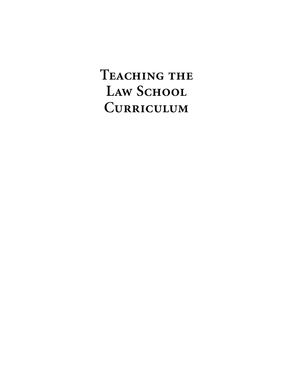TEACHING THE LAW SCHOOL **Curriculum**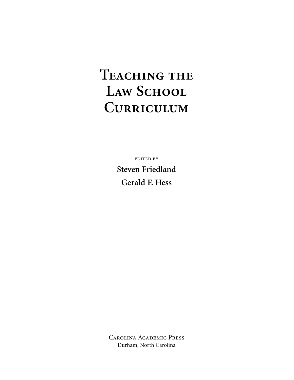# TEACHING THE LAW SCHOOL **Curriculum**

edited by **Steven Friedland Gerald F. Hess**

Carolina Academic Press Durham, North Carolina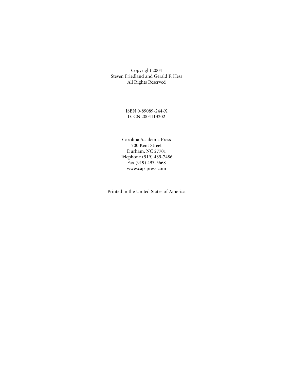Copyright 2004 Steven Friedland and Gerald F. Hess All Rights Reserved

> ISBN 0-89089-244-X LCCN 2004113202

Carolina Academic Press 700 Kent Street Durham, NC 27701 Telephone (919) 489-7486 Fax (919) 493-5668 www.cap-press.com

Printed in the United States of America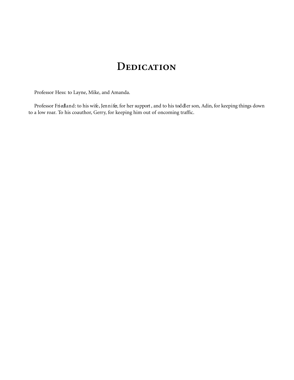# **Dedication**

Professor Hess: to Layne, Mike, and Amanda.

Professor Friedland: to his wife, Jennifer, for her support, and to his toddler son, Adin, for keeping things down to a low roar. To his coauthor, Gerry, for keeping him out of oncoming traffic.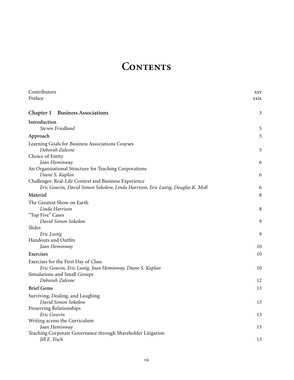# CONTENTS

| Contributors                                                                                                                            | <b>XXV</b>  |
|-----------------------------------------------------------------------------------------------------------------------------------------|-------------|
| Preface                                                                                                                                 | <b>XX1X</b> |
| Chapter 1<br><b>Business Associations</b>                                                                                               | 3           |
| Introduction<br>Steven Friedland                                                                                                        | 5           |
| Approach                                                                                                                                | 5           |
| Learning Goals for Business Associations Courses<br>Deborah Zalesne                                                                     | 5           |
| Choice of Entity                                                                                                                        |             |
| Joan Heminway                                                                                                                           | 6           |
| An Organizational Structure for Teaching Corporations                                                                                   |             |
| Diane S. Kaplan                                                                                                                         | 6           |
| Challenges: Real-Life Context and Business Experience<br>Eric Gouvin, David Simon Sokolow, Linda Harrison, Eric Lustig, Douglas K. Moll | 6           |
| Material                                                                                                                                | 8           |
| The Greatest Show on Earth                                                                                                              |             |
| Linda Harrison                                                                                                                          | 8           |
| "Top Five" Cases                                                                                                                        |             |
| David Simon Sokolow                                                                                                                     | 9           |
| Slides<br>Eric Lustig                                                                                                                   | 9           |
| Handouts and Outfits                                                                                                                    |             |
| Joan Heminway                                                                                                                           | 10          |
| Exercises                                                                                                                               | 10          |
| Exercises for the First Day of Class                                                                                                    |             |
| Eric Gouvin, Eric Lustig, Joan Heminway, Diane S. Kaplan                                                                                | 10          |
| Simulations and Small Groups                                                                                                            |             |
| Deborah Zalesne                                                                                                                         | 12          |
| <b>Brief Gems</b>                                                                                                                       | 13          |
| Surviving, Dealing, and Laughing                                                                                                        |             |
| David Simon Sokolow<br>Preserving Relationships                                                                                         | 13          |
| Eric Gouvin                                                                                                                             | 13          |
| Writing across the Curriculum                                                                                                           |             |
| Joan Heminway                                                                                                                           | 13          |
| Teaching Corporate Governance through Shareholder Litigation                                                                            |             |
| Jill E. Fisch                                                                                                                           | 13          |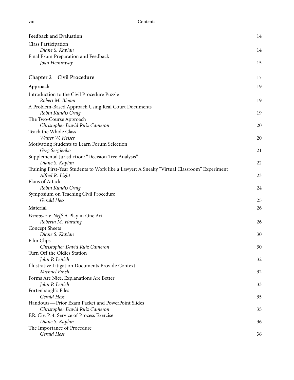| Feedback and Evaluation                                                                     | 14 |
|---------------------------------------------------------------------------------------------|----|
| Class Participation                                                                         |    |
| Diane S. Kaplan                                                                             | 14 |
| Final Exam Preparation and Feedback                                                         |    |
| Joan Heminway                                                                               | 15 |
| Chapter 2<br>Civil Procedure                                                                | 17 |
| Approach                                                                                    | 19 |
| Introduction to the Civil Procedure Puzzle                                                  |    |
| Robert M. Bloom                                                                             | 19 |
| A Problem-Based Approach Using Real Court Documents                                         |    |
| Robin Kundis Craig                                                                          | 19 |
| The Two-Course Approach                                                                     |    |
| Christopher David Ruiz Cameron                                                              | 20 |
| Teach the Whole Class                                                                       |    |
| Walter W. Heiser                                                                            | 20 |
| Motivating Students to Learn Forum Selection                                                |    |
| Greg Sergienko                                                                              | 21 |
| Supplemental Jurisdiction: "Decision Tree Analysis"                                         |    |
| Diane S. Kaplan                                                                             | 22 |
| Training First-Year Students to Work like a Lawyer: A Sneaky "Virtual Classroom" Experiment |    |
| Alfred R. Light                                                                             | 23 |
| Plans of Attack                                                                             |    |
| Robin Kundis Craig                                                                          | 24 |
| Symposium on Teaching Civil Procedure<br>Gerald Hess                                        |    |
|                                                                                             | 25 |
| Material                                                                                    | 26 |
| Pennoyer v. Neff: A Play in One Act                                                         |    |
| Roberta M. Harding                                                                          | 26 |
| Concept Sheets                                                                              |    |
| Diane S. Kaplan                                                                             | 30 |
| Film Clips                                                                                  |    |
| Christopher David Ruiz Cameron                                                              | 30 |
| Turn Off the Oldies Station                                                                 |    |
| John P. Lenich                                                                              | 32 |
| Illustrative Litigation Documents Provide Context                                           |    |
| Michael Finch                                                                               | 32 |
| Forms Are Nice, Explanations Are Better                                                     |    |
| John P. Lenich                                                                              | 33 |
| Fortenbaugh's Files                                                                         |    |
| Gerald Hess                                                                                 | 35 |
| Handouts-Prior Exam Packet and PowerPoint Slides                                            |    |
| Christopher David Ruiz Cameron                                                              | 35 |
| F.R. Civ. P. 4: Service of Process Exercise                                                 |    |
| Diane S. Kaplan                                                                             | 36 |
| The Importance of Procedure                                                                 |    |
| Gerald Hess                                                                                 | 36 |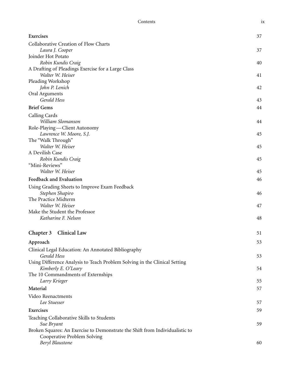| Collaborative Creation of Flow Charts<br>Laura J. Cooper<br>37<br>Joinder Hot Potato<br>Robin Kundis Craig<br>40<br>A Drafting of Pleadings Exercise for a Large Class<br>Walter W. Heiser<br>41<br>Pleading Workshop<br>John P. Lenich<br>42<br>Oral Arguments<br>Gerald Hess<br>43<br><b>Brief Gems</b><br>44<br>Calling Cards<br>William Slomanson<br>44<br>Role-Playing-Client Autonomy<br>Lawrence W. Moore, S.J.<br>45<br>The "Walk Through"<br>Walter W. Heiser<br>45<br>A Devilish Case<br>Robin Kundis Craig<br>45<br>"Mini-Reviews"<br>Walter W. Heiser<br>45<br>Feedback and Evaluation<br>46<br>Using Grading Sheets to Improve Exam Feedback<br>Stephen Shapiro<br>46<br>The Practice Midterm<br>Walter W. Heiser<br>47<br>Make the Student the Professor<br>Katharine F. Nelson<br>48<br>Chapter 3<br>Clinical Law<br>51<br>53<br>Approach<br>Clinical Legal Education: An Annotated Bibliography<br>Gerald Hess<br>53<br>Using Difference Analysis to Teach Problem Solving in the Clinical Setting<br>Kimberly E. O'Leary<br>54<br>The 10 Commandments of Externships |
|---------------------------------------------------------------------------------------------------------------------------------------------------------------------------------------------------------------------------------------------------------------------------------------------------------------------------------------------------------------------------------------------------------------------------------------------------------------------------------------------------------------------------------------------------------------------------------------------------------------------------------------------------------------------------------------------------------------------------------------------------------------------------------------------------------------------------------------------------------------------------------------------------------------------------------------------------------------------------------------------------------------------------------------------------------------------------------------|
|                                                                                                                                                                                                                                                                                                                                                                                                                                                                                                                                                                                                                                                                                                                                                                                                                                                                                                                                                                                                                                                                                       |
|                                                                                                                                                                                                                                                                                                                                                                                                                                                                                                                                                                                                                                                                                                                                                                                                                                                                                                                                                                                                                                                                                       |
|                                                                                                                                                                                                                                                                                                                                                                                                                                                                                                                                                                                                                                                                                                                                                                                                                                                                                                                                                                                                                                                                                       |
|                                                                                                                                                                                                                                                                                                                                                                                                                                                                                                                                                                                                                                                                                                                                                                                                                                                                                                                                                                                                                                                                                       |
|                                                                                                                                                                                                                                                                                                                                                                                                                                                                                                                                                                                                                                                                                                                                                                                                                                                                                                                                                                                                                                                                                       |
|                                                                                                                                                                                                                                                                                                                                                                                                                                                                                                                                                                                                                                                                                                                                                                                                                                                                                                                                                                                                                                                                                       |
|                                                                                                                                                                                                                                                                                                                                                                                                                                                                                                                                                                                                                                                                                                                                                                                                                                                                                                                                                                                                                                                                                       |
|                                                                                                                                                                                                                                                                                                                                                                                                                                                                                                                                                                                                                                                                                                                                                                                                                                                                                                                                                                                                                                                                                       |
|                                                                                                                                                                                                                                                                                                                                                                                                                                                                                                                                                                                                                                                                                                                                                                                                                                                                                                                                                                                                                                                                                       |
|                                                                                                                                                                                                                                                                                                                                                                                                                                                                                                                                                                                                                                                                                                                                                                                                                                                                                                                                                                                                                                                                                       |
|                                                                                                                                                                                                                                                                                                                                                                                                                                                                                                                                                                                                                                                                                                                                                                                                                                                                                                                                                                                                                                                                                       |
|                                                                                                                                                                                                                                                                                                                                                                                                                                                                                                                                                                                                                                                                                                                                                                                                                                                                                                                                                                                                                                                                                       |
|                                                                                                                                                                                                                                                                                                                                                                                                                                                                                                                                                                                                                                                                                                                                                                                                                                                                                                                                                                                                                                                                                       |
|                                                                                                                                                                                                                                                                                                                                                                                                                                                                                                                                                                                                                                                                                                                                                                                                                                                                                                                                                                                                                                                                                       |
|                                                                                                                                                                                                                                                                                                                                                                                                                                                                                                                                                                                                                                                                                                                                                                                                                                                                                                                                                                                                                                                                                       |
|                                                                                                                                                                                                                                                                                                                                                                                                                                                                                                                                                                                                                                                                                                                                                                                                                                                                                                                                                                                                                                                                                       |
|                                                                                                                                                                                                                                                                                                                                                                                                                                                                                                                                                                                                                                                                                                                                                                                                                                                                                                                                                                                                                                                                                       |
|                                                                                                                                                                                                                                                                                                                                                                                                                                                                                                                                                                                                                                                                                                                                                                                                                                                                                                                                                                                                                                                                                       |
|                                                                                                                                                                                                                                                                                                                                                                                                                                                                                                                                                                                                                                                                                                                                                                                                                                                                                                                                                                                                                                                                                       |
|                                                                                                                                                                                                                                                                                                                                                                                                                                                                                                                                                                                                                                                                                                                                                                                                                                                                                                                                                                                                                                                                                       |
|                                                                                                                                                                                                                                                                                                                                                                                                                                                                                                                                                                                                                                                                                                                                                                                                                                                                                                                                                                                                                                                                                       |
|                                                                                                                                                                                                                                                                                                                                                                                                                                                                                                                                                                                                                                                                                                                                                                                                                                                                                                                                                                                                                                                                                       |
|                                                                                                                                                                                                                                                                                                                                                                                                                                                                                                                                                                                                                                                                                                                                                                                                                                                                                                                                                                                                                                                                                       |
|                                                                                                                                                                                                                                                                                                                                                                                                                                                                                                                                                                                                                                                                                                                                                                                                                                                                                                                                                                                                                                                                                       |
|                                                                                                                                                                                                                                                                                                                                                                                                                                                                                                                                                                                                                                                                                                                                                                                                                                                                                                                                                                                                                                                                                       |
|                                                                                                                                                                                                                                                                                                                                                                                                                                                                                                                                                                                                                                                                                                                                                                                                                                                                                                                                                                                                                                                                                       |
|                                                                                                                                                                                                                                                                                                                                                                                                                                                                                                                                                                                                                                                                                                                                                                                                                                                                                                                                                                                                                                                                                       |
|                                                                                                                                                                                                                                                                                                                                                                                                                                                                                                                                                                                                                                                                                                                                                                                                                                                                                                                                                                                                                                                                                       |
|                                                                                                                                                                                                                                                                                                                                                                                                                                                                                                                                                                                                                                                                                                                                                                                                                                                                                                                                                                                                                                                                                       |
|                                                                                                                                                                                                                                                                                                                                                                                                                                                                                                                                                                                                                                                                                                                                                                                                                                                                                                                                                                                                                                                                                       |
|                                                                                                                                                                                                                                                                                                                                                                                                                                                                                                                                                                                                                                                                                                                                                                                                                                                                                                                                                                                                                                                                                       |
|                                                                                                                                                                                                                                                                                                                                                                                                                                                                                                                                                                                                                                                                                                                                                                                                                                                                                                                                                                                                                                                                                       |
|                                                                                                                                                                                                                                                                                                                                                                                                                                                                                                                                                                                                                                                                                                                                                                                                                                                                                                                                                                                                                                                                                       |
|                                                                                                                                                                                                                                                                                                                                                                                                                                                                                                                                                                                                                                                                                                                                                                                                                                                                                                                                                                                                                                                                                       |
|                                                                                                                                                                                                                                                                                                                                                                                                                                                                                                                                                                                                                                                                                                                                                                                                                                                                                                                                                                                                                                                                                       |
| Larry Krieger<br>55                                                                                                                                                                                                                                                                                                                                                                                                                                                                                                                                                                                                                                                                                                                                                                                                                                                                                                                                                                                                                                                                   |
| Material<br>57                                                                                                                                                                                                                                                                                                                                                                                                                                                                                                                                                                                                                                                                                                                                                                                                                                                                                                                                                                                                                                                                        |
| Video Reenactments                                                                                                                                                                                                                                                                                                                                                                                                                                                                                                                                                                                                                                                                                                                                                                                                                                                                                                                                                                                                                                                                    |
| Lee Stuesser<br>57                                                                                                                                                                                                                                                                                                                                                                                                                                                                                                                                                                                                                                                                                                                                                                                                                                                                                                                                                                                                                                                                    |
| Exercises<br>59                                                                                                                                                                                                                                                                                                                                                                                                                                                                                                                                                                                                                                                                                                                                                                                                                                                                                                                                                                                                                                                                       |
| Teaching Collaborative Skills to Students                                                                                                                                                                                                                                                                                                                                                                                                                                                                                                                                                                                                                                                                                                                                                                                                                                                                                                                                                                                                                                             |
| 59<br>Sue Bryant                                                                                                                                                                                                                                                                                                                                                                                                                                                                                                                                                                                                                                                                                                                                                                                                                                                                                                                                                                                                                                                                      |
| Broken Squares: An Exercise to Demonstrate the Shift from Individualistic to                                                                                                                                                                                                                                                                                                                                                                                                                                                                                                                                                                                                                                                                                                                                                                                                                                                                                                                                                                                                          |

Cooperative Problem Solving

*Beryl Blaustone* 60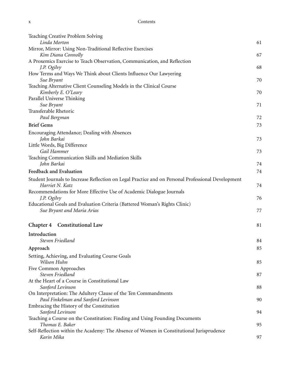| Teaching Creative Problem Solving                                                                  |    |
|----------------------------------------------------------------------------------------------------|----|
| Linda Morton                                                                                       | 61 |
| Mirror, Mirror: Using Non-Traditional Reflective Exercises                                         |    |
| Kim Diana Connolly                                                                                 | 67 |
| A Proxemics Exercise to Teach Observation, Communication, and Reflection                           |    |
| J.P. Ogilvy                                                                                        | 68 |
| How Terms and Ways We Think about Clients Influence Our Lawyering                                  |    |
| Sue Bryant                                                                                         | 70 |
| Teaching Alternative Client Counseling Models in the Clinical Course                               |    |
| Kimberly E. O'Leary                                                                                | 70 |
| Parallel Universe Thinking<br>Sue Bryant                                                           | 71 |
| Transferable Rhetoric                                                                              |    |
| Paul Bergman                                                                                       | 72 |
|                                                                                                    |    |
| <b>Brief Gems</b>                                                                                  | 73 |
| Encouraging Attendance; Dealing with Absences                                                      |    |
| John Barkai                                                                                        | 73 |
| Little Words, Big Difference                                                                       |    |
| Gail Hammer                                                                                        | 73 |
| Teaching Communication Skills and Mediation Skills                                                 |    |
| John Barkai                                                                                        | 74 |
| Feedback and Evaluation                                                                            | 74 |
| Student Journals to Increase Reflection on Legal Practice and on Personal Professional Development |    |
| Harriet N. Katz                                                                                    | 74 |
| Recommendations for More Effective Use of Academic Dialogue Journals                               |    |
| J.P. Ogilvy                                                                                        | 76 |
| Educational Goals and Evaluation Criteria (Battered Woman's Rights Clinic)                         |    |
| Sue Bryant and Maria Arias                                                                         | 77 |
|                                                                                                    |    |
| Chapter 4 Constitutional Law                                                                       | 81 |
| Introduction                                                                                       |    |
| Steven Friedland                                                                                   | 84 |
| Approach                                                                                           | 85 |
| Setting, Achieving, and Evaluating Course Goals                                                    |    |
| Wilson Huhn                                                                                        | 85 |
| Five Common Approaches                                                                             |    |
| Steven Friedland                                                                                   | 87 |
| At the Heart of a Course in Constitutional Law                                                     |    |
| Sanford Levinson                                                                                   | 88 |
| On Interpretation: The Adultery Clause of the Ten Commandments                                     |    |
| Paul Finkelman and Sanford Levinson                                                                | 90 |
| Embracing the History of the Constitution                                                          |    |
| Sanford Levinson                                                                                   | 94 |
| Teaching a Course on the Constitution: Finding and Using Founding Documents                        |    |
| Thomas E. Baker                                                                                    | 95 |
| Self-Reflection within the Academy: The Absence of Women in Constitutional Jurisprudence           |    |
| Karin Mika                                                                                         | 97 |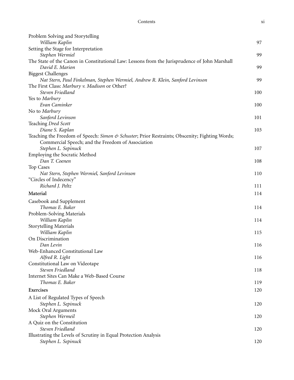| Problem Solving and Storytelling<br>William Kaplin                                             | 97  |
|------------------------------------------------------------------------------------------------|-----|
| Setting the Stage for Interpretation                                                           |     |
| Stephen Wermiel                                                                                | 99  |
| The State of the Canon in Constitutional Law: Lessons from the Jurisprudence of John Marshall  |     |
| David E. Marion                                                                                | 99  |
| <b>Biggest Challenges</b>                                                                      |     |
| Nat Stern, Paul Finkelman, Stephen Wermiel, Andrew R. Klein, Sanford Levinson                  | 99  |
| The First Class: Marbury v. Madison or Other?<br>Steven Friedland                              | 100 |
| Yes to Marbury                                                                                 |     |
| Evan Caminker                                                                                  | 100 |
| No to Marbury                                                                                  |     |
| Sanford Levinson                                                                               | 101 |
| Teaching Dred Scott                                                                            |     |
| Diane S. Kaplan                                                                                | 103 |
| Teaching the Freedom of Speech: Simon & Schuster; Prior Restraints; Obscenity; Fighting Words; |     |
| Commercial Speech; and the Freedom of Association                                              |     |
| Stephen L. Sepinuck                                                                            | 107 |
| Employing the Socratic Method                                                                  |     |
| Dan T. Coenen                                                                                  | 108 |
| Top Cases                                                                                      |     |
| Nat Stern, Stephen Wermiel, Sanford Levinson                                                   | 110 |
| "Circles of Indecency"                                                                         |     |
| Richard J. Peltz                                                                               | 111 |
| Material                                                                                       | 114 |
| Casebook and Supplement                                                                        |     |
| Thomas E. Baker                                                                                | 114 |
| Problem-Solving Materials                                                                      |     |
| William Kaplin                                                                                 | 114 |
| <b>Storytelling Materials</b>                                                                  |     |
| William Kaplin                                                                                 | 115 |
| On Discrimination                                                                              |     |
| Dan Levin                                                                                      | 116 |
| Web-Enhanced Constitutional Law                                                                |     |
| Alfred R. Light<br>Constitutional Law on Videotape                                             | 116 |
| Steven Friedland                                                                               | 118 |
| Internet Sites Can Make a Web-Based Course                                                     |     |
| Thomas E. Baker                                                                                | 119 |
| Exercises                                                                                      |     |
|                                                                                                | 120 |
| A List of Regulated Types of Speech                                                            |     |
| Stephen L. Sepinuck                                                                            | 120 |
| Mock Oral Arguments                                                                            |     |
| Stephen Wermeil<br>A Quiz on the Constitution                                                  | 120 |
| Steven Friedland                                                                               | 120 |
| Illustrating the Levels of Scrutiny in Equal Protection Analysis                               |     |
| Stephen L. Sepinuck                                                                            | 120 |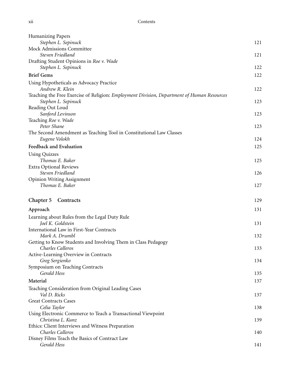| <b>Humanizing Papers</b>                                                                                          |     |
|-------------------------------------------------------------------------------------------------------------------|-----|
| Stephen L. Sepinuck                                                                                               | 121 |
| Mock Admissions Committee                                                                                         |     |
| Steven Friedland                                                                                                  | 121 |
| Drafting Student Opinions in Roe v. Wade                                                                          |     |
| Stephen L. Sepinuck                                                                                               | 122 |
| <b>Brief Gems</b>                                                                                                 | 122 |
| Using Hypotheticals as Advocacy Practice<br>Andrew R. Klein                                                       | 122 |
| Teaching the Free Exercise of Religion: Employment Division, Department of Human Resources<br>Stephen L. Sepinuck | 123 |
| Reading Out Loud                                                                                                  |     |
| Sanford Levinson                                                                                                  | 123 |
| Teaching Roe v. Wade                                                                                              |     |
| Peter Shane                                                                                                       | 123 |
| The Second Amendment as Teaching Tool in Constitutional Law Classes                                               |     |
| Eugene Volokh                                                                                                     | 124 |
| Feedback and Evaluation                                                                                           | 125 |
| <b>Using Quizzes</b>                                                                                              |     |
| Thomas E. Baker                                                                                                   | 125 |
| <b>Extra Optional Reviews</b>                                                                                     |     |
| Steven Friedland                                                                                                  | 126 |
| <b>Opinion Writing Assignment</b>                                                                                 |     |
| Thomas E. Baker                                                                                                   | 127 |
|                                                                                                                   |     |
| Chapter 5<br>Contracts                                                                                            | 129 |
| Approach                                                                                                          | 131 |
| Learning about Rules from the Legal Duty Rule                                                                     |     |
| Joel K. Goldstein                                                                                                 | 131 |
| International Law in First-Year Contracts                                                                         |     |
| Mark A. Drumbl                                                                                                    | 132 |
| Getting to Know Students and Involving Them in Class Pedagogy                                                     |     |
| Charles Calleros                                                                                                  | 133 |
| Active-Learning Overview in Contracts                                                                             |     |
| Greg Sergienko                                                                                                    | 134 |
| Symposium on Teaching Contracts<br>Gerald Hess                                                                    | 135 |
|                                                                                                                   |     |
| Material                                                                                                          | 137 |
| Teaching Consideration from Original Leading Cases                                                                |     |
| Val D. Ricks                                                                                                      | 137 |
| <b>Great Contracts Cases</b>                                                                                      |     |
| Celia Taylor                                                                                                      | 138 |
| Using Electronic Commerce to Teach a Transactional Viewpoint                                                      |     |
| Christina L. Kunz                                                                                                 | 139 |
| Ethics: Client Interviews and Witness Preparation                                                                 |     |
| Charles Calleros                                                                                                  | 140 |
| Disney Films Teach the Basics of Contract Law<br>Gerald Hess                                                      | 141 |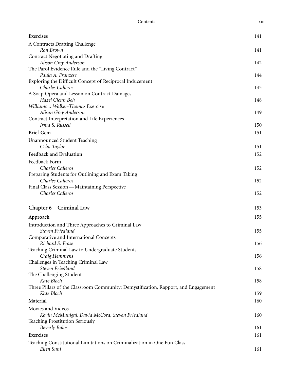| Exercises                                                                                        | 141 |
|--------------------------------------------------------------------------------------------------|-----|
| A Contracts Drafting Challenge                                                                   |     |
| Ron Brown                                                                                        | 141 |
| Contract Negotiating and Drafting                                                                |     |
| Alison Grey Anderson<br>The Parol Evidence Rule and the "Living Contract"                        | 142 |
| Paula A. Franzese                                                                                | 144 |
| Exploring the Difficult Concept of Reciprocal Inducement                                         |     |
| Charles Calleros                                                                                 | 145 |
| A Soap Opera and Lesson on Contract Damages                                                      |     |
| Hazel Glenn Beh                                                                                  | 148 |
| Williams v. Walker-Thomas Exercise                                                               |     |
| Alison Grey Anderson<br>Contract Interpretation and Life Experiences                             | 149 |
| Irma S. Russell                                                                                  | 150 |
| <b>Brief Gem</b>                                                                                 | 151 |
|                                                                                                  |     |
| <b>Unannounced Student Teaching</b><br>Celia Taylor                                              | 151 |
| Feedback and Evaluation                                                                          | 152 |
| Feedback Form                                                                                    |     |
| Charles Calleros                                                                                 | 152 |
| Preparing Students for Outlining and Exam Taking                                                 |     |
| Charles Calleros                                                                                 | 152 |
| Final Class Session - Maintaining Perspective                                                    |     |
| Charles Calleros                                                                                 | 152 |
|                                                                                                  |     |
| Chapter 6 Criminal Law                                                                           | 153 |
| Approach                                                                                         | 155 |
| Introduction and Three Approaches to Criminal Law                                                |     |
| Steven Friedland                                                                                 | 155 |
| Comparative and International Concepts<br>Richard S. Frase                                       |     |
| Teaching Criminal Law to Undergraduate Students                                                  | 156 |
| Craig Hemmens                                                                                    | 156 |
| Challenges in Teaching Criminal Law                                                              |     |
| Steven Friedland                                                                                 | 158 |
| The Challenging Student                                                                          |     |
| Kate Bloch                                                                                       | 158 |
| Three Pillars of the Classroom Community: Demystification, Rapport, and Engagement<br>Kate Bloch | 159 |
| Material                                                                                         |     |
|                                                                                                  | 160 |
| Movies and Videos                                                                                |     |
| Kevin McMunigal, David McCord, Steven Friedland<br><b>Teaching Prostitution Seriously</b>        | 160 |
| <b>Beverly Balos</b>                                                                             | 161 |
| Exercises                                                                                        | 161 |
| Teaching Constitutional Limitations on Criminalization in One Fun Class                          |     |
| Ellen Suni                                                                                       | 161 |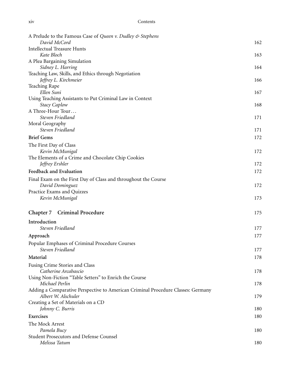| A Prelude to the Famous Case of Queen v. Dudley & Stephens                        |     |
|-----------------------------------------------------------------------------------|-----|
| David McCord                                                                      | 162 |
| <b>Intellectual Treasure Hunts</b>                                                |     |
| Kate Bloch                                                                        | 163 |
| A Plea Bargaining Simulation                                                      |     |
| Sidney L. Harring<br>Teaching Law, Skills, and Ethics through Negotiation         | 164 |
| Jeffrey L. Kirchmeier                                                             | 166 |
| Teaching Rape                                                                     |     |
| Ellen Suni                                                                        | 167 |
| Using Teaching Assistants to Put Criminal Law in Context                          |     |
| <b>Stacy Caplow</b>                                                               | 168 |
| A Three-Hour Tour                                                                 |     |
| Steven Friedland                                                                  | 171 |
| Moral Geography<br>Steven Friedland                                               | 171 |
| <b>Brief Gems</b>                                                                 |     |
|                                                                                   | 172 |
| The First Day of Class                                                            |     |
| Kevin McMunigal<br>The Elements of a Crime and Chocolate Chip Cookies             | 172 |
| Jeffrey Ershler                                                                   | 172 |
| Feedback and Evaluation                                                           | 172 |
|                                                                                   |     |
| Final Exam on the First Day of Class and throughout the Course<br>David Dominguez | 172 |
| Practice Exams and Quizzes                                                        |     |
| Kevin McMunigal                                                                   | 173 |
|                                                                                   |     |
| Chapter 7 Criminal Procedure                                                      | 175 |
| Introduction                                                                      |     |
| Steven Friedland                                                                  | 177 |
| Approach                                                                          | 177 |
| Popular Emphases of Criminal Procedure Courses                                    |     |
| Steven Friedland                                                                  | 177 |
| Material                                                                          | 178 |
| Fusing Crime Stories and Class                                                    |     |
| Catherine Arcabascio                                                              | 178 |
| Using Non-Fiction "Table Setters" to Enrich the Course                            |     |
| Michael Perlin                                                                    | 178 |
| Adding a Comparative Perspective to American Criminal Procedure Classes: Germany  |     |
| Albert W. Alschuler                                                               | 179 |
| Creating a Set of Materials on a CD                                               | 180 |
| Johnny C. Burris                                                                  |     |
| Exercises                                                                         | 180 |
| The Mock Arrest                                                                   |     |
| Pamela Bucy<br>Student Prosecutors and Defense Counsel                            | 180 |
| Melissa Tatum                                                                     | 180 |
|                                                                                   |     |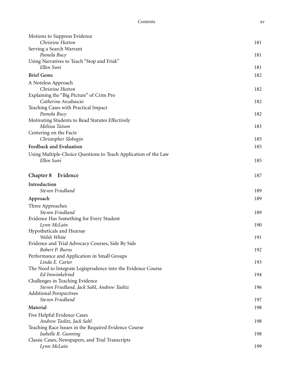| Motions to Suppress Evidence                                                  |     |
|-------------------------------------------------------------------------------|-----|
| Christine Hutton                                                              | 181 |
| Serving a Search Warrant                                                      |     |
| Pamela Bucy                                                                   | 181 |
| Using Narratives to Teach "Stop and Frisk"                                    |     |
| Ellen Suni                                                                    | 181 |
| <b>Brief Gems</b>                                                             | 182 |
| A Noteless Approach                                                           |     |
| Christine Hutton                                                              | 182 |
| Explaining the "Big Picture" of Crim Pro                                      |     |
| Catherine Arcabascio                                                          | 182 |
| Teaching Cases with Practical Impact                                          |     |
| Pamela Bucy                                                                   | 182 |
| Motivating Students to Read Statutes Effectively<br>Melissa Tatum             | 183 |
| Centering on the Facts                                                        |     |
| Christopher Slobogin                                                          | 185 |
| Feedback and Evaluation                                                       | 185 |
|                                                                               |     |
| Using Multiple-Choice Questions to Teach Application of the Law<br>Ellen Suni |     |
|                                                                               | 185 |
| Chapter 8<br>Evidence                                                         | 187 |
| Introduction                                                                  |     |
| Steven Friedland                                                              | 189 |
| Approach                                                                      | 189 |
|                                                                               |     |
| Three Approaches<br>Steven Friedland                                          | 189 |
| Evidence Has Something for Every Student                                      |     |
| Lynn McLain                                                                   | 190 |
| Hypotheticals and Hearsay                                                     |     |
| Welsh White                                                                   | 191 |
| Evidence and Trial Advocacy Courses, Side By Side                             |     |
| Robert P. Burns                                                               | 192 |
| Performance and Application in Small Groups                                   |     |
| Linda E. Carter                                                               | 193 |
| The Need to Integrate Legisprudence into the Evidence Course                  |     |
| Ed Imwinkelried                                                               | 194 |
| Challenges in Teaching Evidence                                               |     |
| Steven Friedland, Jack Sahl, Andrew Taslitz                                   | 196 |
| <b>Additional Perspectives</b>                                                |     |
| Steven Friedland                                                              | 197 |
| Material                                                                      | 198 |
| Five Helpful Evidence Cases                                                   |     |
| Andrew Taslitz, Jack Sahl                                                     | 198 |
| Teaching Race Issues in the Required Evidence Course                          |     |
| Isabelle R. Gunning                                                           | 198 |
| Classic Cases, Newspapers, and Trial Transcripts                              |     |
| Lynn McLain                                                                   | 199 |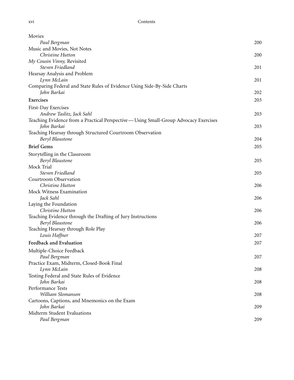| Movies                                                                              |     |
|-------------------------------------------------------------------------------------|-----|
| Paul Bergman                                                                        | 200 |
| Music and Movies, Not Notes                                                         |     |
| Christine Hutton                                                                    | 200 |
| My Cousin Vinny, Revisited                                                          |     |
| Steven Friedland                                                                    | 201 |
| Hearsay Analysis and Problem                                                        |     |
| Lynn McLain                                                                         | 201 |
| Comparing Federal and State Rules of Evidence Using Side-By-Side Charts             |     |
| John Barkai                                                                         | 202 |
| Exercises                                                                           | 203 |
| First-Day Exercises                                                                 |     |
| Andrew Taslitz, Jack Sahl                                                           | 203 |
| Teaching Evidence from a Practical Perspective—Using Small-Group Advocacy Exercises |     |
| John Barkai                                                                         | 203 |
| Teaching Hearsay through Structured Courtroom Observation                           |     |
| Beryl Blaustone                                                                     | 204 |
| <b>Brief Gems</b>                                                                   | 205 |
| Storytelling in the Classroom                                                       |     |
| Beryl Blaustone                                                                     | 205 |
| Mock Trial                                                                          |     |
| Steven Friedland                                                                    | 205 |
| Courtroom Observation<br>Christine Hutton                                           |     |
| Mock Witness Examination                                                            | 206 |
| Jack Sahl                                                                           | 206 |
| Laying the Foundation                                                               |     |
| Christine Hutton                                                                    | 206 |
| Teaching Evidence through the Drafting of Jury Instructions                         |     |
| Beryl Blaustone                                                                     | 206 |
| Teaching Hearsay through Role Play                                                  |     |
| Louis Haffner                                                                       | 207 |
| Feedback and Evaluation                                                             | 207 |
| Multiple-Choice Feedback                                                            |     |
| Paul Bergman                                                                        | 207 |
| Practice Exam, Midterm, Closed-Book Final                                           |     |
| Lynn McLain                                                                         | 208 |
| Testing Federal and State Rules of Evidence                                         |     |
| John Barkai                                                                         | 208 |
| Performance Tests                                                                   |     |
| William Slomanson                                                                   | 208 |
| Cartoons, Captions, and Mnemonics on the Exam                                       |     |
| John Barkai                                                                         | 209 |
| Midterm Student Evaluations                                                         |     |
| Paul Bergman                                                                        | 209 |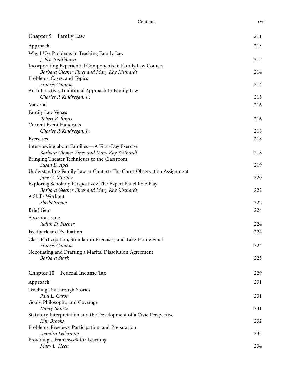| Chapter 9 Family Law                                                                         | 211 |
|----------------------------------------------------------------------------------------------|-----|
| Approach                                                                                     | 213 |
| Why I Use Problems in Teaching Family Law                                                    |     |
| J. Eric Smithburn                                                                            | 213 |
| Incorporating Experiential Components in Family Law Courses                                  |     |
| Barbara Glesner Fines and Mary Kay Kisthardt<br>Problems, Cases, and Topics                  | 214 |
| Francis Catania                                                                              | 214 |
| An Interactive, Traditional Approach to Family Law                                           |     |
| Charles P. Kindregan, Jr.                                                                    | 215 |
| Material                                                                                     | 216 |
| <b>Family Law Verses</b>                                                                     |     |
| Robert E. Rains                                                                              | 216 |
| <b>Current Event Handouts</b>                                                                |     |
| Charles P. Kindregan, Jr.                                                                    | 218 |
| Exercises                                                                                    | 218 |
| Interviewing about Families - A First-Day Exercise                                           |     |
| Barbara Glesner Fines and Mary Kay Kisthardt<br>Bringing Theater Techniques to the Classroom | 218 |
| Susan B. Apel                                                                                | 219 |
| Understanding Family Law in Context: The Court Observation Assignment                        |     |
| Jane C. Murphy                                                                               | 220 |
| Exploring Scholarly Perspectives: The Expert Panel Role Play                                 |     |
| Barbara Glesner Fines and Mary Kay Kisthardt                                                 | 222 |
| A Skills Workout                                                                             |     |
| Sheila Simon                                                                                 | 222 |
| <b>Brief Gem</b>                                                                             | 224 |
| Abortion Issue                                                                               |     |
| Judith D. Fischer                                                                            | 224 |
| <b>Feedback and Evaluation</b>                                                               | 224 |
| Class Participation, Simulation Exercises, and Take-Home Final                               |     |
| Francis Catania<br>Negotiating and Drafting a Marital Dissolution Agreement                  | 224 |
| Barbara Stark                                                                                | 225 |
|                                                                                              |     |
| Chapter 10 Federal Income Tax                                                                | 229 |
| Approach                                                                                     | 231 |
| Teaching Tax through Stories                                                                 |     |
| Paul L. Caron                                                                                | 231 |
| Goals, Philosophy, and Coverage                                                              |     |
| Nancy Shurtz                                                                                 | 231 |
| Statutory Interpretation and the Development of a Civic Perspective<br>Kim Brooks            |     |
| Problems, Previews, Participation, and Preparation                                           | 232 |
| Leandra Lederman                                                                             | 233 |
| Providing a Framework for Learning                                                           |     |
| Mary L. Heen                                                                                 | 234 |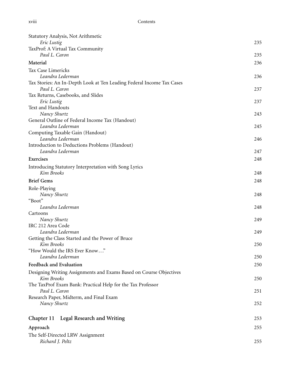| Statutory Analysis, Not Arithmetic                                    |     |
|-----------------------------------------------------------------------|-----|
| Eric Lustig                                                           | 235 |
| TaxProf: A Virtual Tax Community                                      |     |
| Paul L. Caron                                                         | 235 |
| Material                                                              | 236 |
| <b>Tax Case Limericks</b>                                             |     |
| Leandra Lederman                                                      | 236 |
| Tax Stories: An In-Depth Look at Ten Leading Federal Income Tax Cases |     |
| Paul L. Caron                                                         | 237 |
| Tax Returns, Casebooks, and Slides                                    |     |
| Eric Lustig                                                           | 237 |
| Text and Handouts                                                     |     |
| Nancy Shurtz                                                          | 243 |
| General Outline of Federal Income Tax (Handout)                       |     |
| Leandra Lederman                                                      | 245 |
| Computing Taxable Gain (Handout)                                      |     |
| Leandra Lederman                                                      | 246 |
| Introduction to Deductions Problems (Handout)                         |     |
| Leandra Lederman                                                      | 247 |
|                                                                       |     |
| Exercises                                                             | 248 |
| Introducing Statutory Interpretation with Song Lyrics                 |     |
| Kim Brooks                                                            | 248 |
| <b>Brief Gems</b>                                                     | 248 |
| Role-Playing                                                          |     |
| Nancy Shurtz                                                          | 248 |
| "Boot"                                                                |     |
| Leandra Lederman                                                      | 248 |
| Cartoons                                                              |     |
| Nancy Shurtz                                                          | 249 |
| IRC 212 Area Code                                                     |     |
| Leandra Lederman                                                      | 249 |
| Getting the Class Started and the Power of Bruce                      |     |
| Kim Brooks                                                            | 250 |
| "How Would the IRS Ever Know"                                         |     |
| Leandra Lederman                                                      | 250 |
| Feedback and Evaluation                                               | 250 |
|                                                                       |     |
| Designing Writing Assignments and Exams Based on Course Objectives    |     |
| Kim Brooks                                                            | 250 |
| The TaxProf Exam Bank: Practical Help for the Tax Professor           |     |
| Paul L. Caron                                                         | 251 |
| Research Paper, Midterm, and Final Exam                               |     |
| Nancy Shurtz                                                          | 252 |
| Chapter 11 Legal Research and Writing                                 | 253 |
|                                                                       |     |
| Approach                                                              | 255 |
| The Self-Directed LRW Assignment                                      |     |
| Richard J. Peltz                                                      | 255 |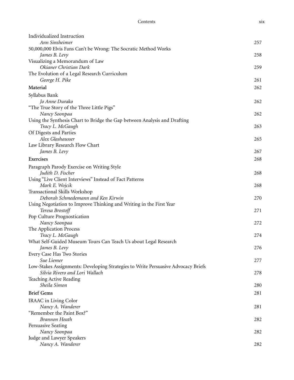| Individualized Instruction                                                        |     |
|-----------------------------------------------------------------------------------|-----|
| Ann Sinsheimer                                                                    | 257 |
| 50,000,000 Elvis Fans Can't be Wrong: The Socratic Method Works                   |     |
| James B. Levy                                                                     | 258 |
| Visualizing a Memorandum of Law                                                   |     |
| Okianer Christian Dark                                                            | 259 |
| The Evolution of a Legal Research Curriculum                                      |     |
| George H. Pike                                                                    | 261 |
| Material                                                                          | 262 |
| Syllabus Bank                                                                     |     |
| Jo Anne Durako                                                                    | 262 |
| "The True Story of the Three Little Pigs"                                         |     |
| Nancy Soonpaa                                                                     | 262 |
| Using the Synthesis Chart to Bridge the Gap between Analysis and Drafting         |     |
| Tracy L. McGaugh                                                                  | 263 |
| Of Digests and Parties                                                            |     |
| Alex Glashausser                                                                  | 265 |
| Law Library Research Flow Chart                                                   |     |
| James B. Levy                                                                     | 267 |
| Exercises                                                                         | 268 |
|                                                                                   |     |
| Paragraph Parody Exercise on Writing Style                                        |     |
| Judith D. Fischer                                                                 | 268 |
| Using "Live Client Interviews" Instead of Fact Patterns                           |     |
| Mark E. Wojcik<br>Transactional Skills Workshop                                   | 268 |
| Deborah Schmedemann and Ken Kirwin                                                | 270 |
| Using Negotiation to Improve Thinking and Writing in the First Year               |     |
| Teresa Brostoff                                                                   | 271 |
| Pop Culture Prognostication                                                       |     |
| Nancy Soonpaa                                                                     | 272 |
| The Application Process                                                           |     |
| Tracy L. McGaugh                                                                  | 274 |
| What Self-Guided Museum Tours Can Teach Us about Legal Research                   |     |
| James B. Levy                                                                     | 276 |
| Every Case Has Two Stories                                                        |     |
| Sue Liemer                                                                        | 277 |
| Low-Stakes Assignments: Developing Strategies to Write Persuasive Advocacy Briefs |     |
| Silvia Rivero and Lori Wallach                                                    | 278 |
| Teaching Active Reading                                                           |     |
| Sheila Simon                                                                      | 280 |
| <b>Brief Gems</b>                                                                 | 281 |
|                                                                                   |     |
| IRAAC in Living Color                                                             |     |
| Nancy A. Wanderer                                                                 | 281 |
| "Remember the Paint Box?"                                                         |     |
| <b>Brannon Heath</b>                                                              | 282 |
| Persuasive Seating                                                                |     |
| Nancy Soonpaa                                                                     | 282 |
| Judge and Lawyer Speakers                                                         |     |
| Nancy A. Wanderer                                                                 | 282 |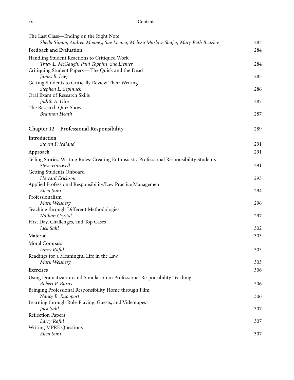| XХ | Contents |
|----|----------|
|    |          |

| The Last Class—Ending on the Right Note                                                                      |     |
|--------------------------------------------------------------------------------------------------------------|-----|
| Sheila Simon, Andrea Mooney, Sue Liemer, Melissa Marlow-Shafer, Mary Beth Beazley                            | 283 |
| Feedback and Evaluation                                                                                      | 284 |
| Handling Student Reactions to Critiqued Work<br>Tracy L. McGaugh, Paul Toppins, Sue Liemer                   | 284 |
| Critiquing Student Papers—The Quick and the Dead                                                             |     |
| James B. Levy                                                                                                | 285 |
| Getting Students to Critically Review Their Writing                                                          |     |
| Stephen L. Sepinuck                                                                                          | 286 |
| Oral Exam of Research Skills                                                                                 |     |
| Judith A. Gire                                                                                               | 287 |
| The Research Quiz Show                                                                                       |     |
| <b>Brannon Heath</b>                                                                                         | 287 |
| <b>Professional Responsibility</b><br>Chapter 12                                                             | 289 |
| Introduction<br>Steven Friedland                                                                             | 291 |
|                                                                                                              |     |
| Approach                                                                                                     | 291 |
| Telling Stories, Writing Rules: Creating Enthusiastic Professional Responsibility Students<br>Steve Hartwell | 291 |
| Getting Students Onboard                                                                                     |     |
| Howard Erichson                                                                                              | 293 |
| Applied Professional Responsibility/Law Practice Management<br>Ellen Suni                                    | 294 |
| Professionalism                                                                                              |     |
| Mark Weisberg                                                                                                | 296 |
| Teaching through Different Methodologies                                                                     |     |
| Nathan Crystal                                                                                               | 297 |
| First Day, Challenges, and Top Cases<br>Jack Sahl                                                            | 302 |
| Material                                                                                                     | 303 |
|                                                                                                              |     |
| Moral Compass                                                                                                |     |
| Larry Raful<br>Readings for a Meaningful Life in the Law                                                     | 303 |
| Mark Weisberg                                                                                                | 303 |
| Exercises                                                                                                    | 306 |
|                                                                                                              |     |
| Using Dramatization and Simulation in Professional Responsibility Teaching<br>Robert P. Burns                | 306 |
| Bringing Professional Responsibility Home through Film                                                       |     |
| Nancy B. Rapoport                                                                                            | 306 |
| Learning through Role-Playing, Guests, and Videotapes                                                        |     |
| Jack Sahl                                                                                                    | 307 |
| <b>Reflection Papers</b>                                                                                     |     |
| Larry Raful                                                                                                  | 307 |
| Writing MPRE Questions                                                                                       |     |
| Ellen Suni                                                                                                   | 307 |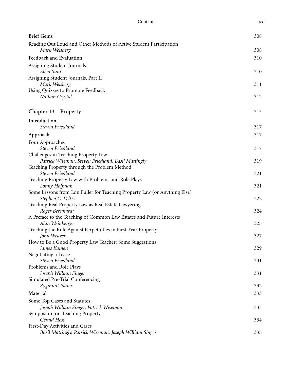| <b>Brief Gems</b>                                                                              | 308 |
|------------------------------------------------------------------------------------------------|-----|
| Reading Out Loud and Other Methods of Active Student Participation                             |     |
| Mark Weisberg                                                                                  | 308 |
| Feedback and Evaluation                                                                        | 310 |
| Assigning Student Journals<br>Ellen Suni                                                       | 310 |
| Assigning Student Journals, Part II<br>Mark Weisberg                                           | 311 |
| Using Quizzes to Promote Feedback<br>Nathan Crystal                                            | 312 |
| Chapter 13 Property                                                                            | 315 |
| Introduction                                                                                   |     |
| Steven Friedland                                                                               | 317 |
| Approach                                                                                       | 317 |
| Four Approaches                                                                                |     |
| Steven Friedland                                                                               | 317 |
| Challenges in Teaching Property Law<br>Patrick Wiseman, Steven Friedland, Basil Mattingly      | 319 |
| Teaching Property through the Problem Method                                                   |     |
| Steven Friedland                                                                               | 321 |
| Teaching Property Law with Problems and Role Plays                                             |     |
| Lonny Hoffman                                                                                  | 321 |
| Some Lessons from Lon Fuller for Teaching Property Law (or Anything Else)<br>Stephen C. Veltri | 322 |
| Teaching Real Property Law as Real Estate Lawyering                                            |     |
| Roger Bernhardt                                                                                | 324 |
| A Preface to the Teaching of Common Law Estates and Future Interests                           |     |
| Alan Weinberger                                                                                | 325 |
| Teaching the Rule Against Perpetuities in First-Year Property                                  |     |
| John Weaver                                                                                    | 327 |
| How to Be a Good Property Law Teacher: Some Suggestions<br>James Kainen                        | 329 |
| Negotiating a Lease                                                                            |     |
| Steven Friedland                                                                               | 331 |
| Problems and Role Plays                                                                        |     |
| Joseph William Singer                                                                          | 331 |
| Simulated Pre-Trial Conferencing                                                               |     |
| Zygmunt Plater                                                                                 | 332 |
| Material                                                                                       | 333 |
| Some Top Cases and Statutes                                                                    |     |
| Joseph William Singer, Patrick Wiseman                                                         | 333 |
| Symposium on Teaching Property                                                                 |     |
| Gerald Hess<br>First-Day Activities and Cases                                                  | 334 |
| Basil Mattingly, Patrick Wiseman, Joseph William Singer                                        | 335 |
|                                                                                                |     |

Contents xxi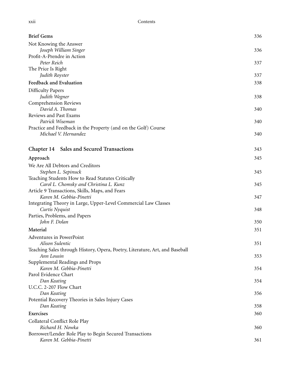| <b>Brief Gems</b>                                                            | 336 |
|------------------------------------------------------------------------------|-----|
| Not Knowing the Answer                                                       |     |
| Joseph William Singer                                                        | 336 |
| Profit-A-Prendre in Action                                                   |     |
| Peter Reich                                                                  | 337 |
| The Price Is Right<br>Judith Royster                                         | 337 |
|                                                                              |     |
| Feedback and Evaluation                                                      | 338 |
| <b>Difficulty Papers</b>                                                     |     |
| Judith Wegner                                                                | 338 |
| Comprehension Reviews<br>David A. Thomas                                     | 340 |
| Reviews and Past Exams                                                       |     |
| Patrick Wiseman                                                              | 340 |
| Practice and Feedback in the Property (and on the Golf) Course               |     |
| Michael V. Hernandez                                                         | 340 |
|                                                                              |     |
| <b>Sales and Secured Transactions</b><br>Chapter 14                          | 343 |
|                                                                              | 345 |
| Approach                                                                     |     |
| We Are All Debtors and Creditors                                             |     |
| Stephen L. Sepinuck<br>Teaching Students How to Read Statutes Critically     | 345 |
| Carol L. Chomsky and Christina L. Kunz                                       | 345 |
| Article 9 Transactions, Skills, Maps, and Fears                              |     |
| Karen M. Gebbia-Pinetti                                                      | 347 |
| Integrating Theory in Large, Upper-Level Commercial Law Classes              |     |
| Curtis Nyquist                                                               | 348 |
| Parties, Problems, and Papers                                                |     |
| John F. Dolan                                                                | 350 |
| Material                                                                     | 351 |
| Adventures in PowerPoint                                                     |     |
| Alison Sulentic                                                              | 351 |
| Teaching Sales through History, Opera, Poetry, Literature, Art, and Baseball |     |
| Ann Lousin                                                                   | 353 |
| Supplemental Readings and Props<br>Karen M. Gebbia-Pinetti                   | 354 |
| Parol Evidence Chart                                                         |     |
| Dan Keating                                                                  | 354 |
| U.C.C. 2-207 Flow Chart                                                      |     |
| Dan Keating                                                                  | 356 |
| Potential Recovery Theories in Sales Injury Cases                            |     |
| Dan Keating                                                                  | 358 |
| Exercises                                                                    | 360 |
| Collateral Conflict Role Play                                                |     |
| Richard H. Nowka                                                             | 360 |
| Borrower/Lender Role Play to Begin Secured Transactions                      |     |
| Karen M. Gebbia-Pinetti                                                      | 361 |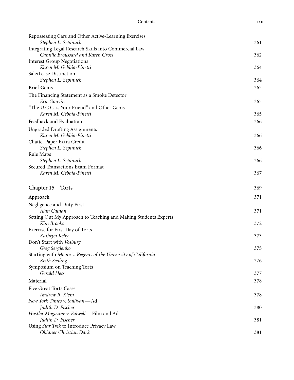| Repossessing Cars and Other Active-Learning Exercises           |     |
|-----------------------------------------------------------------|-----|
| Stephen L. Sepinuck                                             | 361 |
| Integrating Legal Research Skills into Commercial Law           |     |
| Camille Broussard and Karen Gross                               | 362 |
| <b>Interest Group Negotiations</b>                              |     |
| Karen M. Gebbia-Pinetti                                         | 364 |
| Sale/Lease Distinction                                          |     |
| Stephen L. Sepinuck                                             | 364 |
| <b>Brief Gems</b>                                               | 365 |
| The Financing Statement as a Smoke Detector                     |     |
| Eric Gouvin                                                     | 365 |
| "The U.C.C. is Your Friend" and Other Gems                      |     |
| Karen M. Gebbia-Pinetti                                         | 365 |
| Feedback and Evaluation                                         | 366 |
| <b>Ungraded Drafting Assignments</b>                            |     |
| Karen M. Gebbia-Pinetti                                         | 366 |
| Chattel Paper Extra Credit                                      |     |
| Stephen L. Sepinuck                                             | 366 |
| Rule Maps                                                       |     |
| Stephen L. Sepinuck                                             | 366 |
| Secured Transactions Exam Format                                |     |
| Karen M. Gebbia-Pinetti                                         | 367 |
|                                                                 |     |
| Chapter 15<br><b>Torts</b>                                      | 369 |
| Approach                                                        | 371 |
| Negligence and Duty First                                       |     |
| Alan Calnan                                                     | 371 |
| Setting Out My Approach to Teaching and Making Students Experts |     |
| Kim Brooks                                                      | 372 |
| Exercise for First Day of Torts                                 |     |
| Kathryn Kelly                                                   | 373 |
| Don't Start with Vosburg                                        |     |
| Greg Sergienko                                                  | 375 |
| Starting with Moore v. Regents of the University of California  |     |
| Keith Sealing                                                   | 376 |
| Symposium on Teaching Torts                                     |     |
| Gerald Hess                                                     | 377 |
| Material                                                        | 378 |
| Five Great Torts Cases                                          |     |
| Andrew R. Klein                                                 | 378 |
| New York Times v. Sullivan-Ad                                   |     |
| Judith D. Fischer                                               | 380 |
| Hustler Magazine v. Falwell-Film and Ad                         |     |
| Judith D. Fischer                                               | 381 |
| Using Star Trek to Introduce Privacy Law                        |     |
| Okianer Christian Dark                                          | 381 |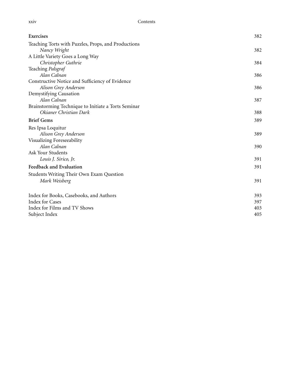| Teaching Torts with Puzzles, Props, and Productions<br>Nancy Wright<br>382<br>A Little Variety Goes a Long Way<br>Christopher Guthrie<br>384<br>Teaching Palsgraf<br>Alan Calnan<br>386<br>Constructive Notice and Sufficiency of Evidence<br>Alison Grey Anderson<br>386<br>Demystifying Causation<br>Alan Calnan<br>387<br>Brainstorming Technique to Initiate a Torts Seminar<br>Okianer Christian Dark<br>388<br><b>Brief Gems</b><br>389<br>Res Ipsa Loquitur<br>Alison Grey Anderson<br>389<br>Visualizing Foreseeability<br>Alan Calnan<br>390<br>Ask Your Students<br>Louis J. Sirico, Jr.<br>391<br>Feedback and Evaluation<br>391<br>Students Writing Their Own Exam Question<br>Mark Weisberg<br>391<br>Index for Books, Casebooks, and Authors<br>393<br><b>Index for Cases</b><br>397<br>Index for Films and TV Shows<br>403<br>Subject Index<br>405 | Exercises | 382 |
|-------------------------------------------------------------------------------------------------------------------------------------------------------------------------------------------------------------------------------------------------------------------------------------------------------------------------------------------------------------------------------------------------------------------------------------------------------------------------------------------------------------------------------------------------------------------------------------------------------------------------------------------------------------------------------------------------------------------------------------------------------------------------------------------------------------------------------------------------------------------|-----------|-----|
|                                                                                                                                                                                                                                                                                                                                                                                                                                                                                                                                                                                                                                                                                                                                                                                                                                                                   |           |     |
|                                                                                                                                                                                                                                                                                                                                                                                                                                                                                                                                                                                                                                                                                                                                                                                                                                                                   |           |     |
|                                                                                                                                                                                                                                                                                                                                                                                                                                                                                                                                                                                                                                                                                                                                                                                                                                                                   |           |     |
|                                                                                                                                                                                                                                                                                                                                                                                                                                                                                                                                                                                                                                                                                                                                                                                                                                                                   |           |     |
|                                                                                                                                                                                                                                                                                                                                                                                                                                                                                                                                                                                                                                                                                                                                                                                                                                                                   |           |     |
|                                                                                                                                                                                                                                                                                                                                                                                                                                                                                                                                                                                                                                                                                                                                                                                                                                                                   |           |     |
|                                                                                                                                                                                                                                                                                                                                                                                                                                                                                                                                                                                                                                                                                                                                                                                                                                                                   |           |     |
|                                                                                                                                                                                                                                                                                                                                                                                                                                                                                                                                                                                                                                                                                                                                                                                                                                                                   |           |     |
|                                                                                                                                                                                                                                                                                                                                                                                                                                                                                                                                                                                                                                                                                                                                                                                                                                                                   |           |     |
|                                                                                                                                                                                                                                                                                                                                                                                                                                                                                                                                                                                                                                                                                                                                                                                                                                                                   |           |     |
|                                                                                                                                                                                                                                                                                                                                                                                                                                                                                                                                                                                                                                                                                                                                                                                                                                                                   |           |     |
|                                                                                                                                                                                                                                                                                                                                                                                                                                                                                                                                                                                                                                                                                                                                                                                                                                                                   |           |     |
|                                                                                                                                                                                                                                                                                                                                                                                                                                                                                                                                                                                                                                                                                                                                                                                                                                                                   |           |     |
|                                                                                                                                                                                                                                                                                                                                                                                                                                                                                                                                                                                                                                                                                                                                                                                                                                                                   |           |     |
|                                                                                                                                                                                                                                                                                                                                                                                                                                                                                                                                                                                                                                                                                                                                                                                                                                                                   |           |     |
|                                                                                                                                                                                                                                                                                                                                                                                                                                                                                                                                                                                                                                                                                                                                                                                                                                                                   |           |     |
|                                                                                                                                                                                                                                                                                                                                                                                                                                                                                                                                                                                                                                                                                                                                                                                                                                                                   |           |     |
|                                                                                                                                                                                                                                                                                                                                                                                                                                                                                                                                                                                                                                                                                                                                                                                                                                                                   |           |     |
|                                                                                                                                                                                                                                                                                                                                                                                                                                                                                                                                                                                                                                                                                                                                                                                                                                                                   |           |     |
|                                                                                                                                                                                                                                                                                                                                                                                                                                                                                                                                                                                                                                                                                                                                                                                                                                                                   |           |     |
|                                                                                                                                                                                                                                                                                                                                                                                                                                                                                                                                                                                                                                                                                                                                                                                                                                                                   |           |     |
|                                                                                                                                                                                                                                                                                                                                                                                                                                                                                                                                                                                                                                                                                                                                                                                                                                                                   |           |     |
|                                                                                                                                                                                                                                                                                                                                                                                                                                                                                                                                                                                                                                                                                                                                                                                                                                                                   |           |     |
|                                                                                                                                                                                                                                                                                                                                                                                                                                                                                                                                                                                                                                                                                                                                                                                                                                                                   |           |     |
|                                                                                                                                                                                                                                                                                                                                                                                                                                                                                                                                                                                                                                                                                                                                                                                                                                                                   |           |     |
|                                                                                                                                                                                                                                                                                                                                                                                                                                                                                                                                                                                                                                                                                                                                                                                                                                                                   |           |     |
|                                                                                                                                                                                                                                                                                                                                                                                                                                                                                                                                                                                                                                                                                                                                                                                                                                                                   |           |     |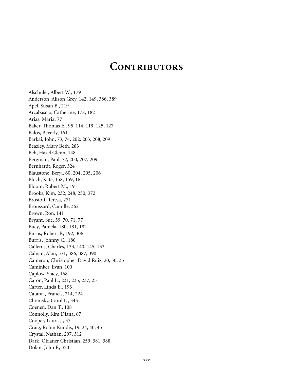### **Contributors**

Alschuler, Albert W., 179 Anderson, Alison Grey, 142, 149, 386, 389 Apel, Susan B., 219 Arcabascio, Catherine, 178, 182 Arias, Maria, 77 Baker, Thomas E., 95, 114, 119, 125, 127 Balos, Beverly, 161 Barkai, John, 73, 74, 202, 203, 208, 209 Beazley, Mary Beth, 283 Beh, Hazel Glenn, 148 Bergman, Paul, 72, 200, 207, 209 Bernhardt, Roger, 324 Blaustone, Beryl, 60, 204, 205, 206 Bloch, Kate, 158, 159, 163 Bloom, Robert M., 19 Brooks, Kim, 232, 248, 250, 372 Brostoff, Teresa, 271 Broussard, Camille, 362 Brown, Ron, 141 Bryant, Sue, 59, 70, 71, 77 Bucy, Pamela, 180, 181, 182 Burns, Robert P., 192, 306 Burris, Johnny C., 180 Calleros, Charles, 133, 140, 145, 152 Calnan, Alan, 371, 386, 387, 390 Cameron, Christopher David Ruiz, 20, 30, 35 Caminker, Evan, 100 Caplow, Stacy, 168 Caron, Paul L., 231, 235, 237, 251 Carter, Linda E., 193 Catania, Francis, 214, 224 Chomsky, Carol L., 345 Coenen, Dan T., 108 Connolly, Kim Diana, 67 Cooper, Laura J., 37 Craig, Robin Kundis, 19, 24, 40, 45 Crystal, Nathan, 297, 312 Dark, Okianer Christian, 259, 381, 388 Dolan, John F., 350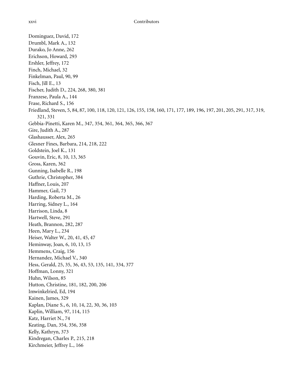Dominguez, David, 172 Drumbl, Mark A., 132 Durako, Jo Anne, 262 Erichson, Howard, 293 Ershler, Jeffrey, 172 Finch, Michael, 32 Finkelman, Paul, 90, 99 Fisch, Jill E., 13 Fischer, Judith D., 224, 268, 380, 381 Franzese, Paula A., 144 Frase, Richard S., 156 Friedland, Steven, 5, 84, 87, 100, 118, 120, 121, 126, 155, 158, 160, 171, 177, 189, 196, 197, 201, 205, 291, 317, 319, 321, 331 Gebbia-Pinetti, Karen M., 347, 354, 361, 364, 365, 366, 367 Gire, Judith A., 287 Glashausser, Alex, 265 Glesner Fines, Barbara, 214, 218, 222 Goldstein, Joel K., 131 Gouvin, Eric, 8, 10, 13, 365 Gross, Karen, 362 Gunning, Isabelle R., 198 Guthrie, Christopher, 384 Haffner, Louis, 207 Hammer, Gail, 73 Harding, Roberta M., 26 Harring, Sidney L., 164 Harrison, Linda, 8 Hartwell, Steve, 291 Heath, Brannon, 282, 287 Heen, Mary L., 234 Heiser, Walter W., 20, 41, 45, 47 Heminway, Joan, 6, 10, 13, 15 Hemmens, Craig, 156 Hernandez, Michael V., 340 Hess, Gerald, 25, 35, 36, 43, 53, 135, 141, 334, 377 Hoffman, Lonny, 321 Huhn, Wilson, 85 Hutton, Christine, 181, 182, 200, 206 Imwinkelried, Ed, 194 Kainen, James, 329 Kaplan, Diane S., 6, 10, 14, 22, 30, 36, 103 Kaplin, William, 97, 114, 115 Katz, Harriet N., 74 Keating, Dan, 354, 356, 358 Kelly, Kathryn, 373 Kindregan, Charles P., 215, 218 Kirchmeier, Jeffrey L., 166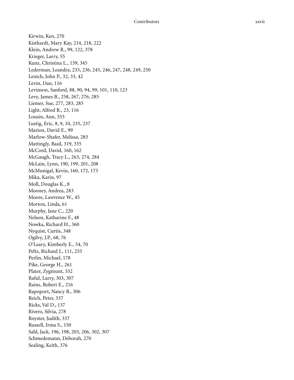Kirwin, Ken, 270 Kisthardt, Mary Kay, 214, 218, 222 Klein, Andrew R., 99, 122, 378 Krieger, Larry, 55 Kunz, Christina L., 139, 345 Lederman, Leandra, 233, 236, 245, 246, 247, 248, 249, 250 Lenich, John P., 32, 33, 42 Levin, Dan, 116 Levinson, Sanford, 88, 90, 94, 99, 101, 110, 123 Levy, James B., 258, 267, 276, 285 Liemer, Sue, 277, 283, 285 Light, Alfred R., 23, 116 Lousin, Ann, 353 Lustig, Eric, 8, 9, 10, 235, 237 Marion, David E., 99 Marlow-Shafer, Melissa, 283 Mattingly, Basil, 319, 335 McCord, David, 160, 162 McGaugh, Tracy L., 263, 274, 284 McLain, Lynn, 190, 199, 201, 208 McMunigal, Kevin, 160, 172, 173 Mika, Karin, 97 Moll, Douglas K., 8 Mooney, Andrea, 283 Moore, Lawrence W., 45 Morton, Linda, 61 Murphy, Jane C., 220 Nelson, Katharine F., 48 Nowka, Richard H., 360 Nyquist, Curtis, 348 Ogilvy, J.P., 68, 76 O'Leary, Kimberly E., 54, 70 Peltz, Richard J., 111, 255 Perlin, Michael, 178 Pike, George H., 261 Plater, Zygmunt, 332 Raful, Larry, 303, 307 Rains, Robert E., 216 Rapoport, Nancy B., 306 Reich, Peter, 337 Ricks, Val D., 137 Rivero, Silvia, 278 Royster, Judith, 337 Russell, Irma S., 150 Sahl, Jack, 196, 198, 203, 206, 302, 307 Schmedemann, Deborah, 270 Sealing, Keith, 376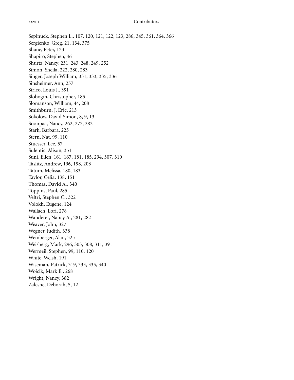Sepinuck, Stephen L., 107, 120, 121, 122, 123, 286, 345, 361, 364, 366 Sergienko, Greg, 21, 134, 375 Shane, Peter, 123 Shapiro, Stephen, 46 Shurtz, Nancy, 231, 243, 248, 249, 252 Simon, Sheila, 222, 280, 283 Singer, Joseph William, 331, 333, 335, 336 Sinsheimer, Ann, 257 Sirico, Louis J., 391 Slobogin, Christopher, 185 Slomanson, William, 44, 208 Smithburn, J. Eric, 213 Sokolow, David Simon, 8, 9, 13 Soonpaa, Nancy, 262, 272, 282 Stark, Barbara, 225 Stern, Nat, 99, 110 Stuesser, Lee, 57 Sulentic, Alison, 351 Suni, Ellen, 161, 167, 181, 185, 294, 307, 310 Taslitz, Andrew, 196, 198, 203 Tatum, Melissa, 180, 183 Taylor, Celia, 138, 151 Thomas, David A., 340 Toppins, Paul, 285 Veltri, Stephen C., 322 Volokh, Eugene, 124 Wallach, Lori, 278 Wanderer, Nancy A., 281, 282 Weaver, John, 327 Wegner, Judith, 338 Weinberger, Alan, 325 Weisberg, Mark, 296, 303, 308, 311, 391 Wermeil, Stephen, 99, 110, 120 White, Welsh, 191 Wiseman, Patrick, 319, 333, 335, 340 Wojcik, Mark E., 268 Wright, Nancy, 382 Zalesne, Deborah, 5, 12